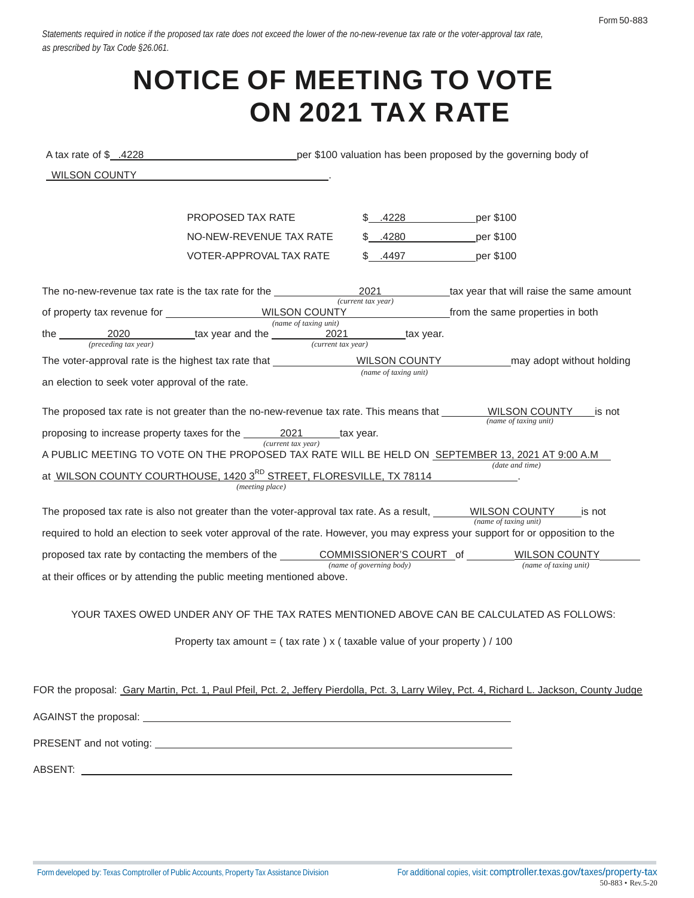Statements required in notice if the proposed tax rate does not exceed the lower of the no-new-revenue tax rate or the voter-approval tax rate, *as prescribed by Tax Code §26.061.*

# **NOTICE OF MEETING TO VOTE ON 2021 TAX RATE**

| A tax rate of $$.4228$                          | per \$100 valuation has been proposed by the governing body of                                                                                                                                                                                                                                                                                                                                                                                                                                                                                                                                                                                              |                            |                                                                                                                                                                                                                                                                                                                                 |
|-------------------------------------------------|-------------------------------------------------------------------------------------------------------------------------------------------------------------------------------------------------------------------------------------------------------------------------------------------------------------------------------------------------------------------------------------------------------------------------------------------------------------------------------------------------------------------------------------------------------------------------------------------------------------------------------------------------------------|----------------------------|---------------------------------------------------------------------------------------------------------------------------------------------------------------------------------------------------------------------------------------------------------------------------------------------------------------------------------|
| WILSON COUNTY                                   |                                                                                                                                                                                                                                                                                                                                                                                                                                                                                                                                                                                                                                                             |                            |                                                                                                                                                                                                                                                                                                                                 |
|                                                 |                                                                                                                                                                                                                                                                                                                                                                                                                                                                                                                                                                                                                                                             |                            |                                                                                                                                                                                                                                                                                                                                 |
|                                                 | PROPOSED TAX RATE                                                                                                                                                                                                                                                                                                                                                                                                                                                                                                                                                                                                                                           | \$.4228                    | per \$100                                                                                                                                                                                                                                                                                                                       |
|                                                 | NO-NEW-REVENUE TAX RATE                                                                                                                                                                                                                                                                                                                                                                                                                                                                                                                                                                                                                                     | \$ .4280 per \$100         |                                                                                                                                                                                                                                                                                                                                 |
|                                                 | VOTER-APPROVAL TAX RATE                                                                                                                                                                                                                                                                                                                                                                                                                                                                                                                                                                                                                                     | \$ .4497 per \$100         |                                                                                                                                                                                                                                                                                                                                 |
|                                                 | The no-new-revenue tax rate is the tax rate for the ____________________________                                                                                                                                                                                                                                                                                                                                                                                                                                                                                                                                                                            | 2021<br>(current tax year) | tax year that will raise the same amount                                                                                                                                                                                                                                                                                        |
|                                                 |                                                                                                                                                                                                                                                                                                                                                                                                                                                                                                                                                                                                                                                             |                            | from the same properties in both                                                                                                                                                                                                                                                                                                |
|                                                 | (name of taking unit)<br>the $\frac{2020}{(preceding tax year)}$ tax year and the $\frac{2021}{(current tax year)}$ tax year.                                                                                                                                                                                                                                                                                                                                                                                                                                                                                                                               |                            |                                                                                                                                                                                                                                                                                                                                 |
|                                                 | The voter-approval rate is the highest tax rate that ________________WILSON COUNTY                                                                                                                                                                                                                                                                                                                                                                                                                                                                                                                                                                          |                            | may adopt without holding                                                                                                                                                                                                                                                                                                       |
| an election to seek voter approval of the rate. |                                                                                                                                                                                                                                                                                                                                                                                                                                                                                                                                                                                                                                                             | (name of taxing unit)      |                                                                                                                                                                                                                                                                                                                                 |
|                                                 | proposing to increase property taxes for the __________________________tax year.<br>(current tax year)<br>A PUBLIC MEETING TO VOTE ON THE PROPOSED TAX RATE WILL BE HELD ON SEPTEMBER 13, 2021 AT 9:00 A.M<br>at WILSON COUNTY COURTHOUSE, 1420 3RD STREET, FLORESVILLE, TX 78114<br>(meeting place)<br>The proposed tax rate is also not greater than the voter-approval tax rate. As a result, $\underbrace{\hspace{2cm} \text{WILSON COUNTY}}_{\text{(name of taking unit)}}$ is not<br>proposed tax rate by contacting the members of the COMMISSIONER'S COURT of WILSON COUNTY<br>at their offices or by attending the public meeting mentioned above. | (name of governing body)   | The proposed tax rate is not greater than the no-new-revenue tax rate. This means that ________WILSON COUNTY____ is not<br>(name of taxing unit)<br>(date and time)<br>required to hold an election to seek voter approval of the rate. However, you may express your support for or opposition to the<br>(name of taxing unit) |
|                                                 | Property tax amount = $($ tax rate $)$ x $($ taxable value of your property $)/100$                                                                                                                                                                                                                                                                                                                                                                                                                                                                                                                                                                         |                            | YOUR TAXES OWED UNDER ANY OF THE TAX RATES MENTIONED ABOVE CAN BE CALCULATED AS FOLLOWS:                                                                                                                                                                                                                                        |
|                                                 |                                                                                                                                                                                                                                                                                                                                                                                                                                                                                                                                                                                                                                                             |                            | FOR the proposal: Gary Martin, Pct. 1, Paul Pfeil, Pct. 2, Jeffery Pierdolla, Pct. 3, Larry Wiley, Pct. 4, Richard L. Jackson, County Judge                                                                                                                                                                                     |
|                                                 |                                                                                                                                                                                                                                                                                                                                                                                                                                                                                                                                                                                                                                                             |                            |                                                                                                                                                                                                                                                                                                                                 |
|                                                 |                                                                                                                                                                                                                                                                                                                                                                                                                                                                                                                                                                                                                                                             |                            |                                                                                                                                                                                                                                                                                                                                 |

ABSENT: